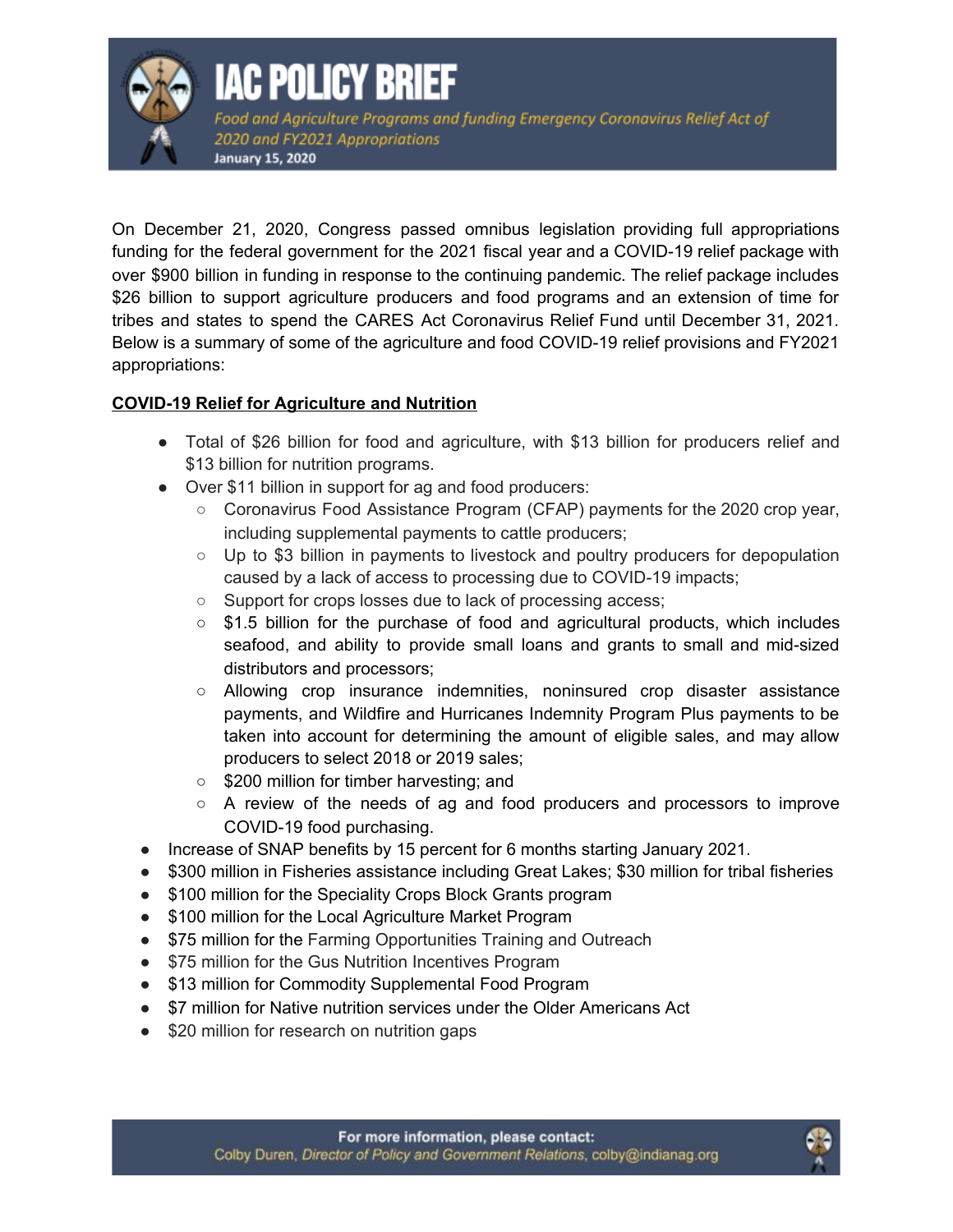

## **IAC POLICY BRIEF**

Food and Agriculture Programs and funding Emergency Coronavirus Relief Act of 2020 and FY2021 Appropriations **January 15, 2020** 

On December 21, 2020, Congress passed omnibus legislation providing full appropriations funding for the federal government for the 2021 fiscal year and a COVID-19 relief package with over \$900 billion in funding in response to the continuing pandemic. The relief package includes \$26 billion to support agriculture producers and food programs and an extension of time for tribes and states to spend the CARES Act Coronavirus Relief Fund until December 31, 2021. Below is a summary of some of the agriculture and food COVID-19 relief provisions and FY2021 appropriations:

## **COVID-19 Relief for Agriculture and Nutrition**

- Total of \$26 billion for food and agriculture, with \$13 billion for producers relief and \$13 billion for nutrition programs.
- Over \$11 billion in support for ag and food producers:
	- Coronavirus Food Assistance Program (CFAP) payments for the 2020 crop year, including supplemental payments to cattle producers;
	- Up to \$3 billion in payments to livestock and poultry producers for depopulation caused by a lack of access to processing due to COVID-19 impacts;
	- Support for crops losses due to lack of processing access;
	- \$1.5 billion for the purchase of food and agricultural products, which includes seafood, and ability to provide small loans and grants to small and mid-sized distributors and processors;
	- Allowing crop insurance indemnities, noninsured crop disaster assistance payments, and Wildfire and Hurricanes Indemnity Program Plus payments to be taken into account for determining the amount of eligible sales, and may allow producers to select 2018 or 2019 sales;
	- \$200 million for timber harvesting; and
	- A review of the needs of ag and food producers and processors to improve COVID-19 food purchasing.
- Increase of SNAP benefits by 15 percent for 6 months starting January 2021.
- \$300 million in Fisheries assistance including Great Lakes; \$30 million for tribal fisheries
- \$100 million for the Speciality Crops Block Grants program
- \$100 million for the Local Agriculture Market Program
- \$75 million for the Farming Opportunities Training and Outreach
- \$75 million for the Gus Nutrition Incentives Program
- \$13 million for Commodity Supplemental Food Program
- \$7 million for Native nutrition services under the Older Americans Act
- \$20 million for research on nutrition gaps